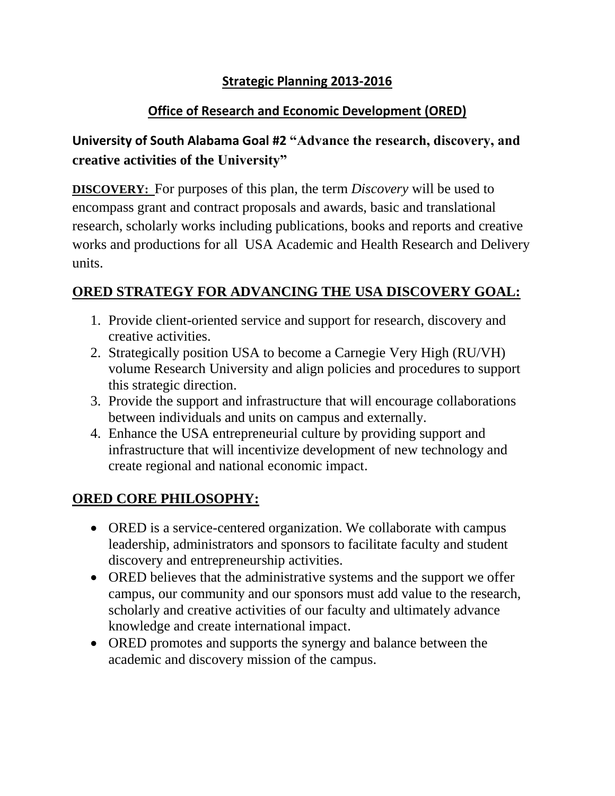## **Strategic Planning 2013-2016**

### **Office of Research and Economic Development (ORED)**

# **University of South Alabama Goal #2 "Advance the research, discovery, and creative activities of the University"**

**DISCOVERY:** For purposes of this plan, the term *Discovery* will be used to encompass grant and contract proposals and awards, basic and translational research, scholarly works including publications, books and reports and creative works and productions for all USA Academic and Health Research and Delivery units.

## **ORED STRATEGY FOR ADVANCING THE USA DISCOVERY GOAL:**

- 1. Provide client-oriented service and support for research, discovery and creative activities.
- 2. Strategically position USA to become a Carnegie Very High (RU/VH) volume Research University and align policies and procedures to support this strategic direction.
- 3. Provide the support and infrastructure that will encourage collaborations between individuals and units on campus and externally.
- 4. Enhance the USA entrepreneurial culture by providing support and infrastructure that will incentivize development of new technology and create regional and national economic impact.

## **ORED CORE PHILOSOPHY:**

- ORED is a service-centered organization. We collaborate with campus leadership, administrators and sponsors to facilitate faculty and student discovery and entrepreneurship activities.
- ORED believes that the administrative systems and the support we offer campus, our community and our sponsors must add value to the research, scholarly and creative activities of our faculty and ultimately advance knowledge and create international impact.
- ORED promotes and supports the synergy and balance between the academic and discovery mission of the campus.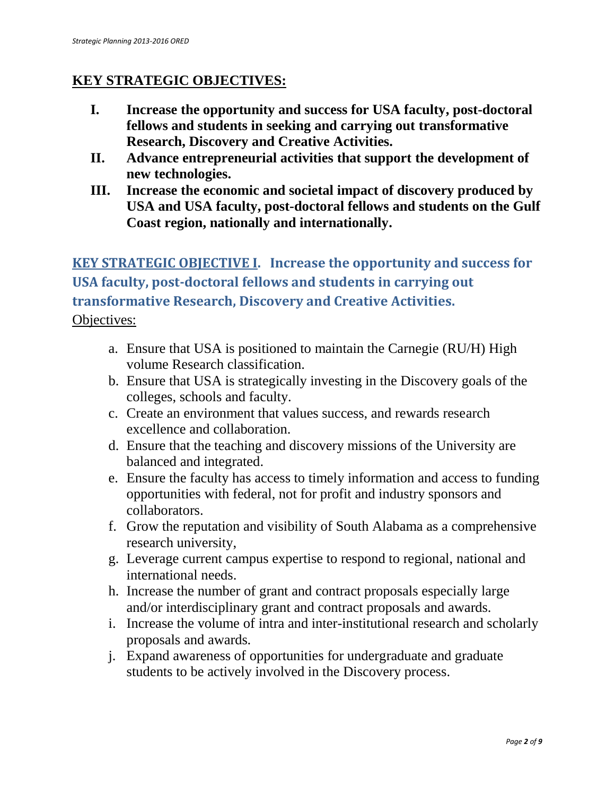### **KEY STRATEGIC OBJECTIVES:**

- **I. Increase the opportunity and success for USA faculty, post-doctoral fellows and students in seeking and carrying out transformative Research, Discovery and Creative Activities.**
- **II. Advance entrepreneurial activities that support the development of new technologies.**
- **III. Increase the economic and societal impact of discovery produced by USA and USA faculty, post-doctoral fellows and students on the Gulf Coast region, nationally and internationally.**

# **KEY STRATEGIC OBJECTIVE I. Increase the opportunity and success for USA faculty, post-doctoral fellows and students in carrying out transformative Research, Discovery and Creative Activities.** Objectives:

- a. Ensure that USA is positioned to maintain the Carnegie (RU/H) High volume Research classification.
- b. Ensure that USA is strategically investing in the Discovery goals of the colleges, schools and faculty.
- c. Create an environment that values success, and rewards research excellence and collaboration.
- d. Ensure that the teaching and discovery missions of the University are balanced and integrated.
- e. Ensure the faculty has access to timely information and access to funding opportunities with federal, not for profit and industry sponsors and collaborators.
- f. Grow the reputation and visibility of South Alabama as a comprehensive research university,
- g. Leverage current campus expertise to respond to regional, national and international needs.
- h. Increase the number of grant and contract proposals especially large and/or interdisciplinary grant and contract proposals and awards.
- i. Increase the volume of intra and inter-institutional research and scholarly proposals and awards.
- j. Expand awareness of opportunities for undergraduate and graduate students to be actively involved in the Discovery process.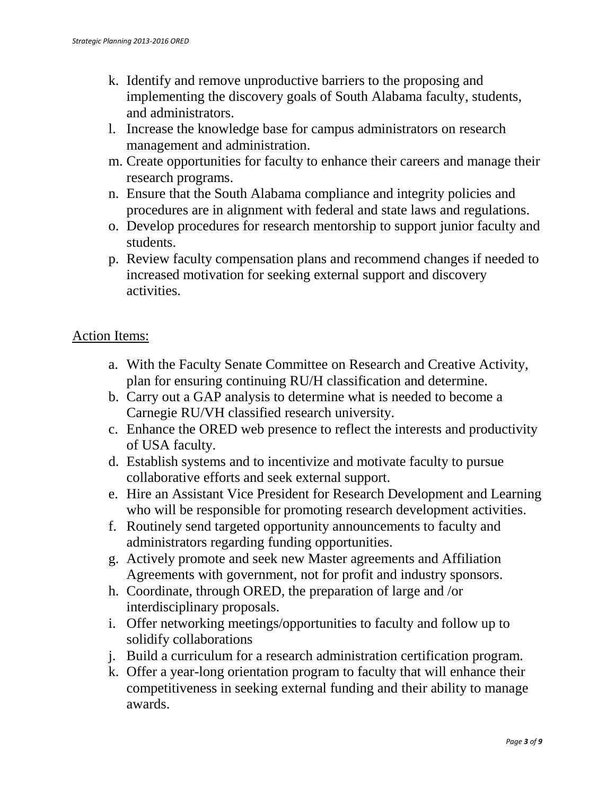- k. Identify and remove unproductive barriers to the proposing and implementing the discovery goals of South Alabama faculty, students, and administrators.
- l. Increase the knowledge base for campus administrators on research management and administration.
- m. Create opportunities for faculty to enhance their careers and manage their research programs.
- n. Ensure that the South Alabama compliance and integrity policies and procedures are in alignment with federal and state laws and regulations.
- o. Develop procedures for research mentorship to support junior faculty and students.
- p. Review faculty compensation plans and recommend changes if needed to increased motivation for seeking external support and discovery activities.

#### Action Items:

- a. With the Faculty Senate Committee on Research and Creative Activity, plan for ensuring continuing RU/H classification and determine.
- b. Carry out a GAP analysis to determine what is needed to become a Carnegie RU/VH classified research university.
- c. Enhance the ORED web presence to reflect the interests and productivity of USA faculty.
- d. Establish systems and to incentivize and motivate faculty to pursue collaborative efforts and seek external support.
- e. Hire an Assistant Vice President for Research Development and Learning who will be responsible for promoting research development activities.
- f. Routinely send targeted opportunity announcements to faculty and administrators regarding funding opportunities.
- g. Actively promote and seek new Master agreements and Affiliation Agreements with government, not for profit and industry sponsors.
- h. Coordinate, through ORED, the preparation of large and /or interdisciplinary proposals.
- i. Offer networking meetings/opportunities to faculty and follow up to solidify collaborations
- j. Build a curriculum for a research administration certification program.
- k. Offer a year-long orientation program to faculty that will enhance their competitiveness in seeking external funding and their ability to manage awards.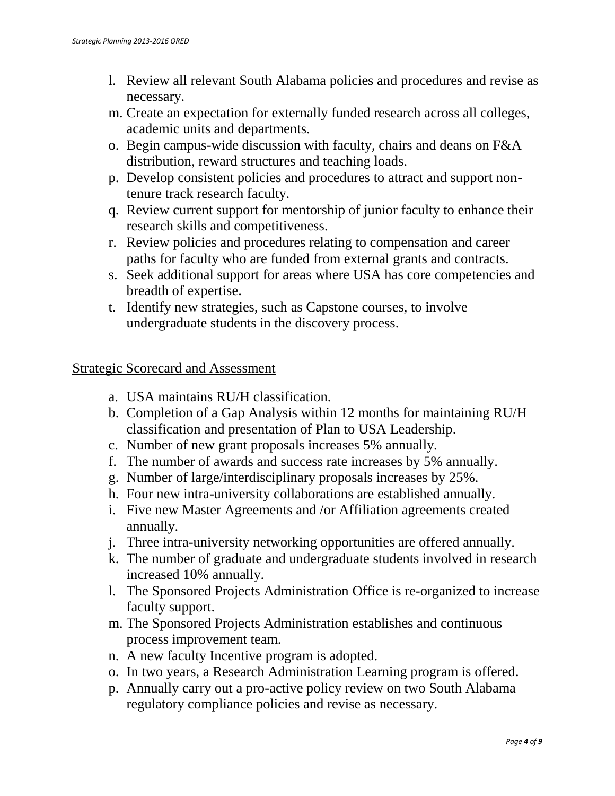- l. Review all relevant South Alabama policies and procedures and revise as necessary.
- m. Create an expectation for externally funded research across all colleges, academic units and departments.
- o. Begin campus-wide discussion with faculty, chairs and deans on F&A distribution, reward structures and teaching loads.
- p. Develop consistent policies and procedures to attract and support nontenure track research faculty.
- q. Review current support for mentorship of junior faculty to enhance their research skills and competitiveness.
- r. Review policies and procedures relating to compensation and career paths for faculty who are funded from external grants and contracts.
- s. Seek additional support for areas where USA has core competencies and breadth of expertise.
- t. Identify new strategies, such as Capstone courses, to involve undergraduate students in the discovery process.

#### Strategic Scorecard and Assessment

- a. USA maintains RU/H classification.
- b. Completion of a Gap Analysis within 12 months for maintaining RU/H classification and presentation of Plan to USA Leadership.
- c. Number of new grant proposals increases 5% annually.
- f. The number of awards and success rate increases by 5% annually.
- g. Number of large/interdisciplinary proposals increases by 25%.
- h. Four new intra-university collaborations are established annually.
- i. Five new Master Agreements and /or Affiliation agreements created annually.
- j. Three intra-university networking opportunities are offered annually.
- k. The number of graduate and undergraduate students involved in research increased 10% annually.
- l. The Sponsored Projects Administration Office is re-organized to increase faculty support.
- m. The Sponsored Projects Administration establishes and continuous process improvement team.
- n. A new faculty Incentive program is adopted.
- o. In two years, a Research Administration Learning program is offered.
- p. Annually carry out a pro-active policy review on two South Alabama regulatory compliance policies and revise as necessary.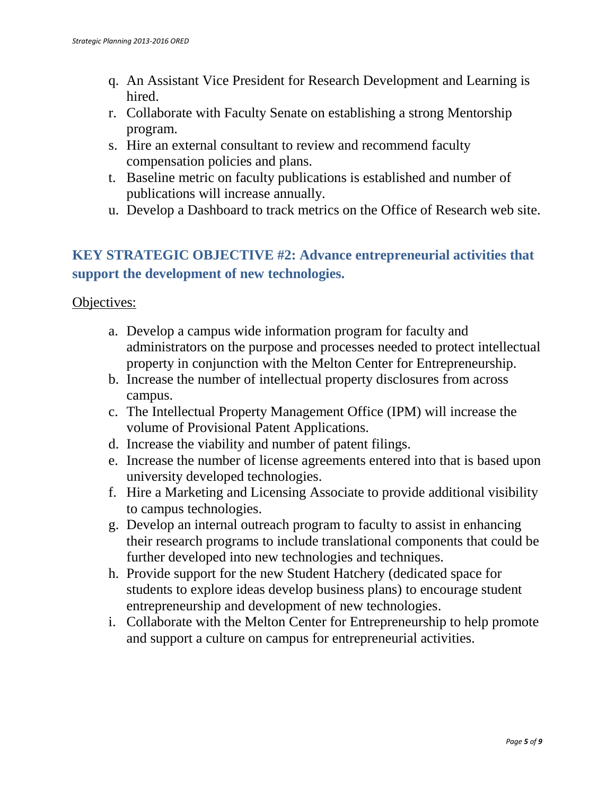- q. An Assistant Vice President for Research Development and Learning is hired.
- r. Collaborate with Faculty Senate on establishing a strong Mentorship program.
- s. Hire an external consultant to review and recommend faculty compensation policies and plans.
- t. Baseline metric on faculty publications is established and number of publications will increase annually.
- u. Develop a Dashboard to track metrics on the Office of Research web site.

## **KEY STRATEGIC OBJECTIVE #2: Advance entrepreneurial activities that support the development of new technologies.**

#### Objectives:

- a. Develop a campus wide information program for faculty and administrators on the purpose and processes needed to protect intellectual property in conjunction with the Melton Center for Entrepreneurship.
- b. Increase the number of intellectual property disclosures from across campus.
- c. The Intellectual Property Management Office (IPM) will increase the volume of Provisional Patent Applications.
- d. Increase the viability and number of patent filings.
- e. Increase the number of license agreements entered into that is based upon university developed technologies.
- f. Hire a Marketing and Licensing Associate to provide additional visibility to campus technologies.
- g. Develop an internal outreach program to faculty to assist in enhancing their research programs to include translational components that could be further developed into new technologies and techniques.
- h. Provide support for the new Student Hatchery (dedicated space for students to explore ideas develop business plans) to encourage student entrepreneurship and development of new technologies.
- i. Collaborate with the Melton Center for Entrepreneurship to help promote and support a culture on campus for entrepreneurial activities.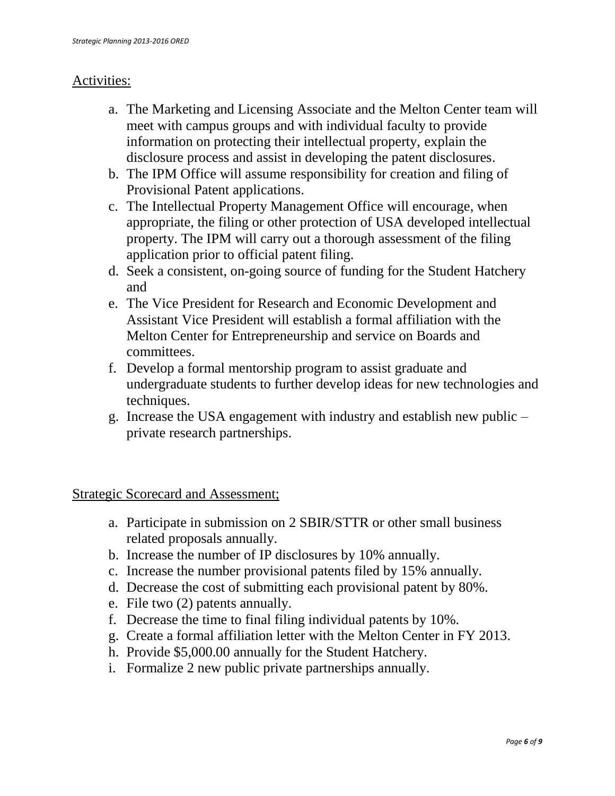#### Activities:

- a. The Marketing and Licensing Associate and the Melton Center team will meet with campus groups and with individual faculty to provide information on protecting their intellectual property, explain the disclosure process and assist in developing the patent disclosures.
- b. The IPM Office will assume responsibility for creation and filing of Provisional Patent applications.
- c. The Intellectual Property Management Office will encourage, when appropriate, the filing or other protection of USA developed intellectual property. The IPM will carry out a thorough assessment of the filing application prior to official patent filing.
- d. Seek a consistent, on-going source of funding for the Student Hatchery and
- e. The Vice President for Research and Economic Development and Assistant Vice President will establish a formal affiliation with the Melton Center for Entrepreneurship and service on Boards and committees.
- f. Develop a formal mentorship program to assist graduate and undergraduate students to further develop ideas for new technologies and techniques.
- g. Increase the USA engagement with industry and establish new public private research partnerships.

Strategic Scorecard and Assessment;

- a. Participate in submission on 2 SBIR/STTR or other small business related proposals annually.
- b. Increase the number of IP disclosures by 10% annually.
- c. Increase the number provisional patents filed by 15% annually.
- d. Decrease the cost of submitting each provisional patent by 80%.
- e. File two (2) patents annually.
- f. Decrease the time to final filing individual patents by 10%.
- g. Create a formal affiliation letter with the Melton Center in FY 2013.
- h. Provide \$5,000.00 annually for the Student Hatchery.
- i. Formalize 2 new public private partnerships annually.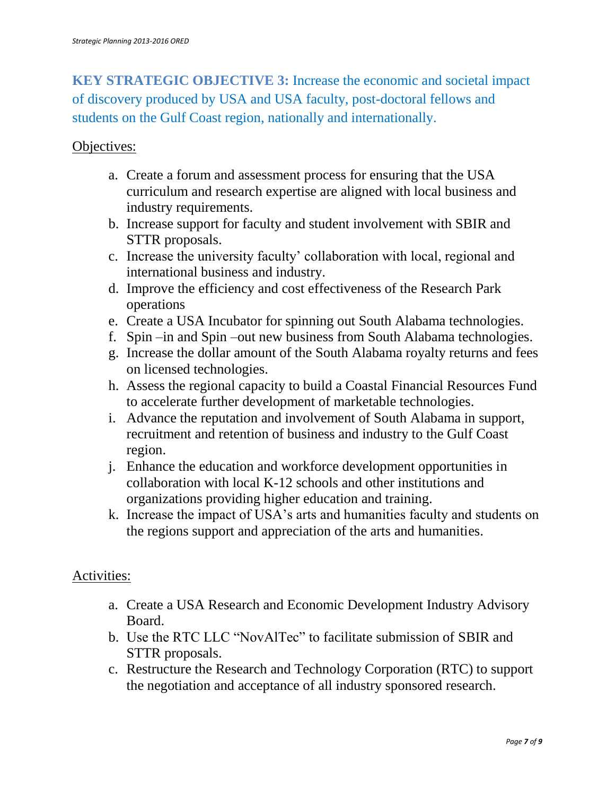**KEY STRATEGIC OBJECTIVE 3:** Increase the economic and societal impact of discovery produced by USA and USA faculty, post-doctoral fellows and students on the Gulf Coast region, nationally and internationally.

#### Objectives:

- a. Create a forum and assessment process for ensuring that the USA curriculum and research expertise are aligned with local business and industry requirements.
- b. Increase support for faculty and student involvement with SBIR and STTR proposals.
- c. Increase the university faculty' collaboration with local, regional and international business and industry.
- d. Improve the efficiency and cost effectiveness of the Research Park operations
- e. Create a USA Incubator for spinning out South Alabama technologies.
- f. Spin –in and Spin –out new business from South Alabama technologies.
- g. Increase the dollar amount of the South Alabama royalty returns and fees on licensed technologies.
- h. Assess the regional capacity to build a Coastal Financial Resources Fund to accelerate further development of marketable technologies.
- i. Advance the reputation and involvement of South Alabama in support, recruitment and retention of business and industry to the Gulf Coast region.
- j. Enhance the education and workforce development opportunities in collaboration with local K-12 schools and other institutions and organizations providing higher education and training.
- k. Increase the impact of USA's arts and humanities faculty and students on the regions support and appreciation of the arts and humanities.

#### Activities:

- a. Create a USA Research and Economic Development Industry Advisory Board.
- b. Use the RTC LLC "NovAlTec" to facilitate submission of SBIR and STTR proposals.
- c. Restructure the Research and Technology Corporation (RTC) to support the negotiation and acceptance of all industry sponsored research.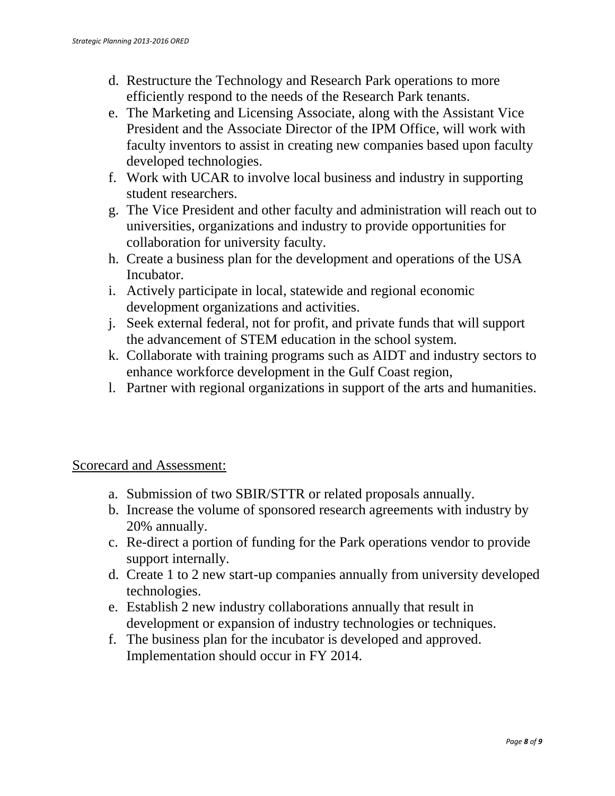- d. Restructure the Technology and Research Park operations to more efficiently respond to the needs of the Research Park tenants.
- e. The Marketing and Licensing Associate, along with the Assistant Vice President and the Associate Director of the IPM Office, will work with faculty inventors to assist in creating new companies based upon faculty developed technologies.
- f. Work with UCAR to involve local business and industry in supporting student researchers.
- g. The Vice President and other faculty and administration will reach out to universities, organizations and industry to provide opportunities for collaboration for university faculty.
- h. Create a business plan for the development and operations of the USA Incubator.
- i. Actively participate in local, statewide and regional economic development organizations and activities.
- j. Seek external federal, not for profit, and private funds that will support the advancement of STEM education in the school system.
- k. Collaborate with training programs such as AIDT and industry sectors to enhance workforce development in the Gulf Coast region,
- l. Partner with regional organizations in support of the arts and humanities.

### Scorecard and Assessment:

- a. Submission of two SBIR/STTR or related proposals annually.
- b. Increase the volume of sponsored research agreements with industry by 20% annually.
- c. Re-direct a portion of funding for the Park operations vendor to provide support internally.
- d. Create 1 to 2 new start-up companies annually from university developed technologies.
- e. Establish 2 new industry collaborations annually that result in development or expansion of industry technologies or techniques.
- f. The business plan for the incubator is developed and approved. Implementation should occur in FY 2014.